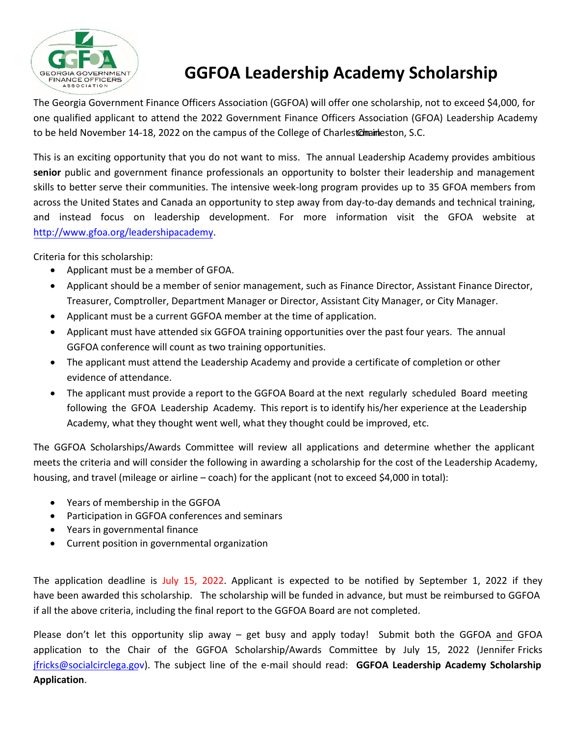

## **GGFOA Leadership Academy Scholarship**

The Georgia Government Finance Officers Association (GGFOA) will offer one scholarship, not to exceed \$4,000, for one qualified applicant to attend the 2022 Government Finance Officers Association (GFOA) Leadership Academy to be held November 14-18, 2022 on the campus of the College of Charlest Chaineston, S.C.

This is an exciting opportunity that you do not want to miss. The annual Leadership Academy provides ambitious **senior** public and government finance professionals an opportunity to bolster their leadership and management skills to better serve their communities. The intensive week-long program provides up to 35 GFOA members from across the United States and Canada an opportunity to step away from day-to-day demands and technical training, and instead focus on leadership development. For more information visit the GFOA website at [http://www.gfoa.org/leadershipacademy.](http://www.gfoa.org/leadershipacademy)

Criteria for this scholarship:

- Applicant must be a member of GFOA.
- Applicant should be a member of senior management, such as Finance Director, Assistant Finance Director, Treasurer, Comptroller, Department Manager or Director, Assistant City Manager, or City Manager.
- Applicant must be a current GGFOA member at the time of application.
- Applicant must have attended six GGFOA training opportunities over the past four years. The annual GGFOA conference will count as two training opportunities.
- The applicant must attend the Leadership Academy and provide a certificate of completion or other evidence of attendance.
- The applicant must provide a report to the GGFOA Board at the next regularly scheduled Board meeting following the GFOA Leadership Academy. This report is to identify his/her experience at the Leadership Academy, what they thought went well, what they thought could be improved, etc.

The GGFOA Scholarships/Awards Committee will review all applications and determine whether the applicant meets the criteria and will consider the following in awarding a scholarship for the cost of the Leadership Academy, housing, and travel (mileage or airline – coach) for the applicant (not to exceed \$4,000 in total):

- Years of membership in the GGFOA
- Participation in GGFOA conferences and seminars
- Years in governmental finance
- Current position in governmental organization

The application deadline is July 15, 2022. Applicant is expected to be notified by September 1, 2022 if they have been awarded this scholarship. The scholarship will be funded in advance, but must be reimbursed to GGFOA if all the above criteria, including the final report to the GGFOA Board are not completed.

Please don't let this opportunity slip away - get busy and apply today! Submit both the GGFOA and GFOA application to the Chair of the GGFOA Scholarship/Awards Committee by July 15, 2022 (Jennifer Fricks [jfricks@socialcirclega.gov](mailto:jfricks@socialcirclega.gov)). The subject line of the e-mail should read: **GGFOA Leadership Academy Scholarship Application**.